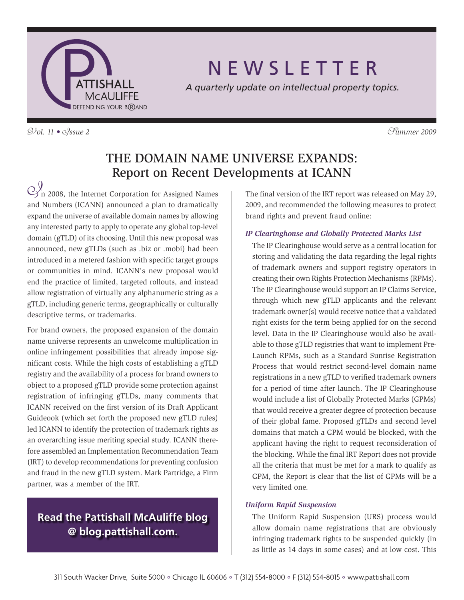

# N E W S L E T T E R

*A quarterly update on intellectual property topics.*

V*ol. 11 •* I*ssue 2* S*ummer 2009*

### The Domain Name Universe Expands: Report on Recent Developments at ICANN

 $\bigotimes_n^0$  2008, the Internet Corporation for Assigned Names and Numbers (ICANN) announced a plan to dramatically expand the universe of available domain names by allowing any interested party to apply to operate any global top-level domain (gTLD) of its choosing. Until this new proposal was announced, new gTLDs (such as .biz or .mobi) had been introduced in a metered fashion with specific target groups or communities in mind. ICANN's new proposal would end the practice of limited, targeted rollouts, and instead allow registration of virtually any alphanumeric string as a gTLD, including generic terms, geographically or culturally descriptive terms, or trademarks.

For brand owners, the proposed expansion of the domain name universe represents an unwelcome multiplication in online infringement possibilities that already impose significant costs. While the high costs of establishing a gTLD registry and the availability of a process for brand owners to object to a proposed gTLD provide some protection against registration of infringing gTLDs, many comments that ICANN received on the first version of its Draft Applicant Guideook (which set forth the proposed new gTLD rules) led ICANN to identify the protection of trademark rights as an overarching issue meriting special study. ICANN therefore assembled an Implementation Recommendation Team (IRT) to develop recommendations for preventing confusion and fraud in the new gTLD system. Mark Partridge, a Firm partner, was a member of the IRT.

### **Read the Pattishall McAuliffe blog @ blog.pattishall.com.**

The final version of the IRT report was released on May 29, 2009, and recommended the following measures to protect brand rights and prevent fraud online:

### *IP Clearinghouse and Globally Protected Marks List*

The IP Clearinghouse would serve as a central location for storing and validating the data regarding the legal rights of trademark owners and support registry operators in creating their own Rights Protection Mechanisms (RPMs). The IP Clearinghouse would support an IP Claims Service, through which new gTLD applicants and the relevant trademark owner(s) would receive notice that a validated right exists for the term being applied for on the second level. Data in the IP Clearinghouse would also be available to those gTLD registries that want to implement Pre-Launch RPMs, such as a Standard Sunrise Registration Process that would restrict second-level domain name registrations in a new gTLD to verified trademark owners for a period of time after launch. The IP Clearinghouse would include a list of Globally Protected Marks (GPMs) that would receive a greater degree of protection because of their global fame. Proposed gTLDs and second level domains that match a GPM would be blocked, with the applicant having the right to request reconsideration of the blocking. While the final IRT Report does not provide all the criteria that must be met for a mark to qualify as GPM, the Report is clear that the list of GPMs will be a very limited one.

### *Uniform Rapid Suspension*

The Uniform Rapid Suspension (URS) process would allow domain name registrations that are obviously infringing trademark rights to be suspended quickly (in as little as 14 days in some cases) and at low cost. This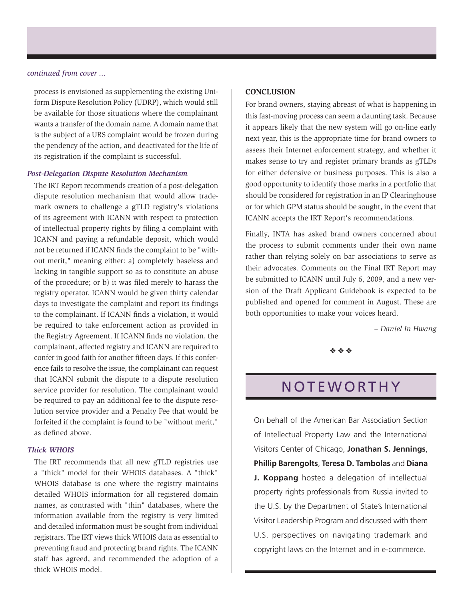### *continued from cover ...*

process is envisioned as supplementing the existing Uniform Dispute Resolution Policy (UDRP), which would still be available for those situations where the complainant wants a transfer of the domain name. A domain name that is the subject of a URS complaint would be frozen during the pendency of the action, and deactivated for the life of its registration if the complaint is successful.

### *Post-Delegation Dispute Resolution Mechanism*

The IRT Report recommends creation of a post-delegation dispute resolution mechanism that would allow trademark owners to challenge a gTLD registry's violations of its agreement with ICANN with respect to protection of intellectual property rights by filing a complaint with ICANN and paying a refundable deposit, which would not be returned if ICANN finds the complaint to be "without merit," meaning either: a) completely baseless and lacking in tangible support so as to constitute an abuse of the procedure; or b) it was filed merely to harass the registry operator. ICANN would be given thirty calendar days to investigate the complaint and report its findings to the complainant. If ICANN finds a violation, it would be required to take enforcement action as provided in the Registry Agreement. If ICANN finds no violation, the complainant, affected registry and ICANN are required to confer in good faith for another fifteen days. If this conference fails to resolve the issue, the complainant can request that ICANN submit the dispute to a dispute resolution service provider for resolution. The complainant would be required to pay an additional fee to the dispute resolution service provider and a Penalty Fee that would be forfeited if the complaint is found to be "without merit," as defined above.

### *Thick WHOIS*

The IRT recommends that all new gTLD registries use a "thick" model for their WHOIS databases. A "thick" WHOIS database is one where the registry maintains detailed WHOIS information for all registered domain names, as contrasted with "thin" databases, where the information available from the registry is very limited and detailed information must be sought from individual registrars. The IRT views thick WHOIS data as essential to preventing fraud and protecting brand rights. The ICANN staff has agreed, and recommended the adoption of a thick WHOIS model.

### **Conclusion**

For brand owners, staying abreast of what is happening in this fast-moving process can seem a daunting task. Because it appears likely that the new system will go on-line early next year, this is the appropriate time for brand owners to assess their Internet enforcement strategy, and whether it makes sense to try and register primary brands as gTLDs for either defensive or business purposes. This is also a good opportunity to identify those marks in a portfolio that should be considered for registration in an IP Clearinghouse or for which GPM status should be sought, in the event that ICANN accepts the IRT Report's recommendations.

Finally, INTA has asked brand owners concerned about the process to submit comments under their own name rather than relying solely on bar associations to serve as their advocates. Comments on the Final IRT Report may be submitted to ICANN until July 6, 2009, and a new version of the Draft Applicant Guidebook is expected to be published and opened for comment in August. These are both opportunities to make your voices heard.

*– Daniel In Hwang*

 $\phi_2$   $\phi_3$ 

### **NOTEWORTHY**

On behalf of the American Bar Association Section of Intellectual Property Law and the International Visitors Center of Chicago, **Jonathan S. Jennings**, **Phillip Barengolts**, **Teresa D. Tambolas** and **Diana J. Koppang** hosted a delegation of intellectual property rights professionals from Russia invited to the U.S. by the Department of State's International Visitor Leadership Program and discussed with them U.S. perspectives on navigating trademark and copyright laws on the Internet and in e-commerce.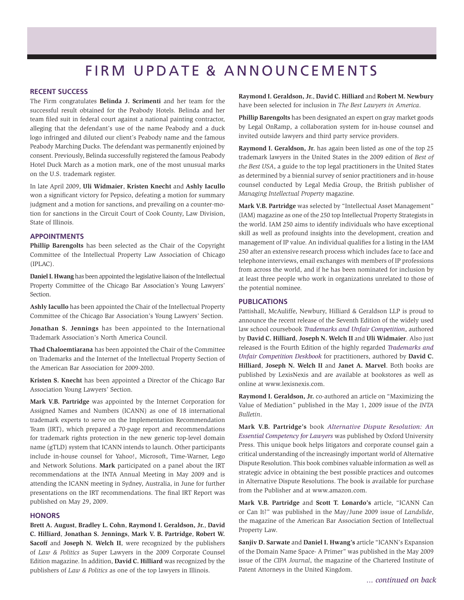# FIRM UPDATE & ANNOUNCEMENTS

#### **Recent Success**

The Firm congratulates **Belinda J. Scrimenti** and her team for the successful result obtained for the Peabody Hotels. Belinda and her team filed suit in federal court against a national painting contractor, alleging that the defendant's use of the name Peabody and a duck logo infringed and diluted our client's Peabody name and the famous Peabody Marching Ducks. The defendant was permanently enjoined by consent. Previously, Belinda successfully registered the famous Peabody Hotel Duck March as a motion mark, one of the most unusual marks on the U.S. trademark register.

In late April 2009, **Uli Widmaier**, **Kristen Knecht** and **Ashly Iacullo** won a significant victory for Pepsico, defeating a motion for summary judgment and a motion for sanctions, and prevailing on a counter-motion for sanctions in the Circuit Court of Cook County, Law Division, State of Illinois.

#### **Appointments**

**Phillip Barengolts** has been selected as the Chair of the Copyright Committee of the Intellectual Property Law Association of Chicago (IPLAC).

**Daniel I. Hwang** has been appointed the legislative liaison of the Intellectual Property Committee of the Chicago Bar Association's Young Lawyers' Section.

**Ashly Iacullo** has been appointed the Chair of the Intellectual Property Committee of the Chicago Bar Association's Young Lawyers' Section.

**Jonathan S. Jennings** has been appointed to the International Trademark Association's North America Council.

**Thad Chaloemtiarana** has been appointed the Chair of the Committee on Trademarks and the Internet of the Intellectual Property Section of the American Bar Association for 2009-2010.

**Kristen S. Knecht** has been appointed a Director of the Chicago Bar Association Young Lawyers' Section.

**Mark V.B. Partridge** was appointed by the Internet Corporation for Assigned Names and Numbers (ICANN) as one of 18 international trademark experts to serve on the Implementation Recommendation Team (IRT), which prepared a 70-page report and recommendations for trademark rights protection in the new generic top-level domain name (gTLD) system that ICANN intends to launch. Other participants include in-house counsel for Yahoo!, Microsoft, Time-Warner, Lego and Network Solutions. **Mark** participated on a panel about the IRT recommendations at the INTA Annual Meeting in May 2009 and is attending the ICANN meeting in Sydney, Australia, in June for further presentations on the IRT recommendations. The final IRT Report was published on May 29, 2009.

#### **Honors**

**Brett A. August**, **Bradley L. Cohn**, **Raymond I. Geraldson, Jr.**, **David C. Hilliard**, **Jonathan S. Jennings**, **Mark V. B. Partridge**, **Robert W. Sacoff** and **Joseph N. Welch II**, were recognized by the publishers of *Law & Politics* as Super Lawyers in the 2009 Corporate Counsel Edition magazine. In addition, **David C. Hilliard** was recognized by the publishers of *Law & Politics* as one of the top lawyers in Illinois.

**Raymond I. Geraldson, Jr.**, **David C. Hilliard** and **Robert M. Newbury** have been selected for inclusion in *The Best Lawyers in America*.

**Phillip Barengolts** has been designated an expert on gray market goods by Legal OnRamp, a collaboration system for in-house counsel and invited outside lawyers and third party service providers.

**Raymond I. Geraldson, Jr.** has again been listed as one of the top 25 trademark lawyers in the United States in the 2009 edition of *Best of the Best USA*, a guide to the top legal practitioners in the United States as determined by a biennial survey of senior practitioners and in-house counsel conducted by Legal Media Group, the British publisher of *Managing Intellectual Property* magazine.

**Mark V.B. Partridge** was selected by "Intellectual Asset Management" (IAM) magazine as one of the 250 top Intellectual Property Strategists in the world. IAM 250 aims to identify individuals who have exceptional skill as well as profound insights into the development, creation and management of IP value. An individual qualifies for a listing in the IAM 250 after an extensive research process which includes face to face and telephone interviews, email exchanges with members of IP professions from across the world, and if he has been nominated for inclusion by at least three people who work in organizations unrelated to those of the potential nominee.

#### **Publications**

Pattishall, McAuliffe, Newbury, Hilliard & Geraldson LLP is proud to announce the recent release of the Seventh Edition of the widely used law school coursebook *Trademarks and Unfair Competition*, authored by **David C. Hilliard**, **Joseph N. Welch II** and **Uli Widmaier**. Also just released is the Fourth Edition of the highly regarded *Trademarks and Unfair Competition Deskbook* for practitioners, authored by **David C. Hilliard**, **Joseph N. Welch II** and **Janet A. Marvel**. Both books are published by LexisNexis and are available at bookstores as well as online at www.lexisnexis.com.

**Raymond I. Geraldson, Jr.** co-authored an article on "Maximizing the Value of Mediation" published in the May 1, 2009 issue of the *INTA Bulletin*.

**Mark V.B. Partridge's** book *Alternative Dispute Resolution: An Essential Competency for Lawyers* was published by Oxford University Press. This unique book helps litigators and corporate counsel gain a critical understanding of the increasingly important world of Alternative Dispute Resolution. This book combines valuable information as well as strategic advice in obtaining the best possible practices and outcomes in Alternative Dispute Resolutions. The book is available for purchase from the Publisher and at www.amazon.com.

**Mark V.B. Partridge** and **Scott T. Lonardo's** article, "ICANN Can or Can It?" was published in the May/June 2009 issue of *Landslide*, the magazine of the American Bar Association Section of Intellectual Property Law.

**Sanjiv D. Sarwate** and **Daniel I. Hwang's** article "ICANN's Expansion of the Domain Name Space- A Primer" was published in the May 2009 issue of the *CIPA Journal*, the magazine of the Chartered Institute of Patent Attorneys in the United Kingdom.